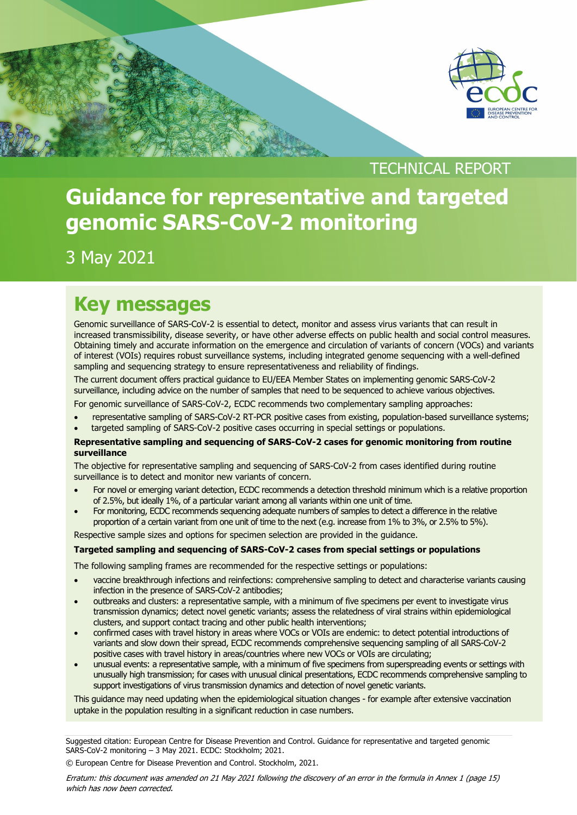

TECHNICAL REPORT

# **Guidance for representative and targeted genomic SARS-CoV-2 monitoring**

3 May 2021

# **Key messages**

Genomic surveillance of SARS-CoV-2 is essential to detect, monitor and assess virus variants that can result in increased transmissibility, disease severity, or have other adverse effects on public health and social control measures. Obtaining timely and accurate information on the emergence and circulation of variants of concern (VOCs) and variants of interest (VOIs) requires robust surveillance systems, including integrated genome sequencing with a well-defined sampling and sequencing strategy to ensure representativeness and reliability of findings.

The current document offers practical guidance to EU/EEA Member States on implementing genomic SARS-CoV-2 surveillance, including advice on the number of samples that need to be sequenced to achieve various objectives.

For genomic surveillance of SARS-CoV-2, ECDC recommends two complementary sampling approaches:

- representative sampling of SARS-CoV-2 RT-PCR positive cases from existing, population-based surveillance systems;
- targeted sampling of SARS-CoV-2 positive cases occurring in special settings or populations.

#### **Representative sampling and sequencing of SARS-CoV-2 cases for genomic monitoring from routine surveillance**

The objective for representative sampling and sequencing of SARS-CoV-2 from cases identified during routine surveillance is to detect and monitor new variants of concern.

- For novel or emerging variant detection, ECDC recommends a detection threshold minimum which is a relative proportion of 2.5%, but ideally 1%, of a particular variant among all variants within one unit of time.
- For monitoring, ECDC recommends sequencing adequate numbers of samples to detect a difference in the relative proportion of a certain variant from one unit of time to the next (e.g. increase from 1% to 3%, or 2.5% to 5%).

Respective sample sizes and options for specimen selection are provided in the guidance.

#### **Targeted sampling and sequencing of SARS-CoV-2 cases from special settings or populations**

The following sampling frames are recommended for the respective settings or populations:

- vaccine breakthrough infections and reinfections: comprehensive sampling to detect and characterise variants causing infection in the presence of SARS-CoV-2 antibodies;
- outbreaks and clusters: a representative sample, with a minimum of five specimens per event to investigate virus transmission dynamics; detect novel genetic variants; assess the relatedness of viral strains within epidemiological clusters, and support contact tracing and other public health interventions;
- confirmed cases with travel history in areas where VOCs or VOIs are endemic: to detect potential introductions of variants and slow down their spread, ECDC recommends comprehensive sequencing sampling of all SARS-CoV-2 positive cases with travel history in areas/countries where new VOCs or VOIs are circulating;
- unusual events: a representative sample, with a minimum of five specimens from superspreading events or settings with unusually high transmission; for cases with unusual clinical presentations, ECDC recommends comprehensive sampling to support investigations of virus transmission dynamics and detection of novel genetic variants.

This guidance may need updating when the epidemiological situation changes - for example after extensive vaccination uptake in the population resulting in a significant reduction in case numbers.

Suggested citation: European Centre for Disease Prevention and Control. Guidance for representative and targeted genomic SARS-CoV-2 monitoring – 3 May 2021. ECDC: Stockholm; 2021.

© European Centre for Disease Prevention and Control. Stockholm, 2021.

Erratum: this document was amended on 21 May 2021 following the discovery of an error in the formula in Annex 1 (page 15) which has now been corrected.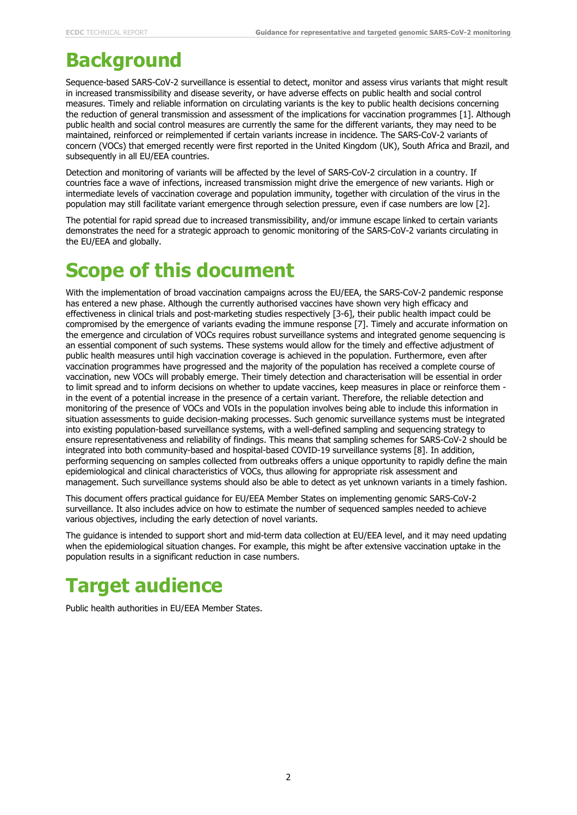# **Background**

Sequence-based SARS-CoV-2 surveillance is essential to detect, monitor and assess virus variants that might result in increased transmissibility and disease severity, or have adverse effects on public health and social control measures. Timely and reliable information on circulating variants is the key to public health decisions concerning the reduction of general transmission and assessment of the implications for vaccination programmes [1]. Although public health and social control measures are currently the same for the different variants, they may need to be maintained, reinforced or reimplemented if certain variants increase in incidence. The SARS-CoV-2 variants of concern (VOCs) that emerged recently were first reported in the United Kingdom (UK), South Africa and Brazil, and subsequently in all EU/EEA countries.

Detection and monitoring of variants will be affected by the level of SARS-CoV-2 circulation in a country. If countries face a wave of infections, increased transmission might drive the emergence of new variants. High or intermediate levels of vaccination coverage and population immunity, together with circulation of the virus in the population may still facilitate variant emergence through selection pressure, even if case numbers are low [2].

The potential for rapid spread due to increased transmissibility, and/or immune escape linked to certain variants demonstrates the need for a strategic approach to genomic monitoring of the SARS-CoV-2 variants circulating in the EU/EEA and globally.

# **Scope of this document**

With the implementation of broad vaccination campaigns across the EU/EEA, the SARS-CoV-2 pandemic response has entered a new phase. Although the currently authorised vaccines have shown very high efficacy and effectiveness in clinical trials and post-marketing studies respectively [3-6], their public health impact could be compromised by the emergence of variants evading the immune response [7]. Timely and accurate information on the emergence and circulation of VOCs requires robust surveillance systems and integrated genome sequencing is an essential component of such systems. These systems would allow for the timely and effective adjustment of public health measures until high vaccination coverage is achieved in the population. Furthermore, even after vaccination programmes have progressed and the majority of the population has received a complete course of vaccination, new VOCs will probably emerge. Their timely detection and characterisation will be essential in order to limit spread and to inform decisions on whether to update vaccines, keep measures in place or reinforce them in the event of a potential increase in the presence of a certain variant. Therefore, the reliable detection and monitoring of the presence of VOCs and VOIs in the population involves being able to include this information in situation assessments to guide decision-making processes. Such genomic surveillance systems must be integrated into existing population-based surveillance systems, with a well-defined sampling and sequencing strategy to ensure representativeness and reliability of findings. This means that sampling schemes for SARS-CoV-2 should be integrated into both community-based and hospital-based COVID-19 surveillance systems [8]. In addition, performing sequencing on samples collected from outbreaks offers a unique opportunity to rapidly define the main epidemiological and clinical characteristics of VOCs, thus allowing for appropriate risk assessment and management. Such surveillance systems should also be able to detect as yet unknown variants in a timely fashion.

This document offers practical guidance for EU/EEA Member States on implementing genomic SARS-CoV-2 surveillance. It also includes advice on how to estimate the number of sequenced samples needed to achieve various objectives, including the early detection of novel variants.

The guidance is intended to support short and mid-term data collection at EU/EEA level, and it may need updating when the epidemiological situation changes. For example, this might be after extensive vaccination uptake in the population results in a significant reduction in case numbers.

# **Target audience**

Public health authorities in EU/EEA Member States.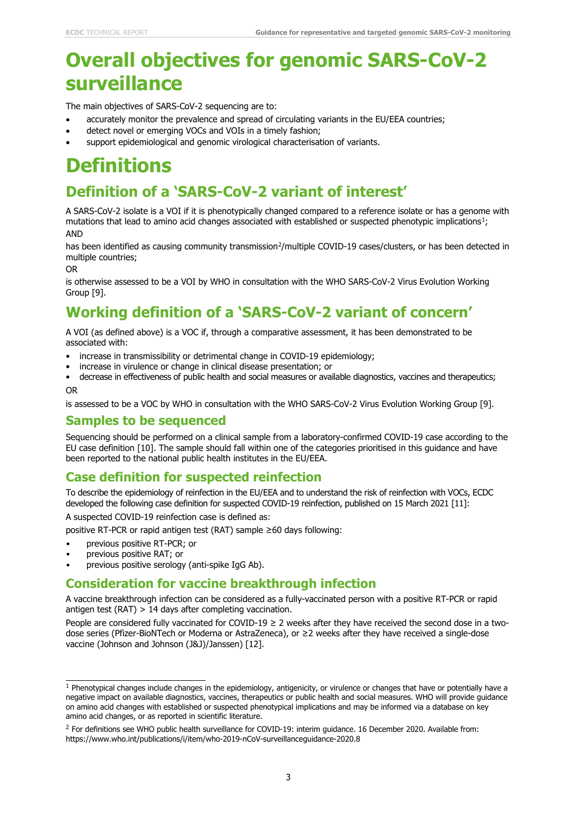# **Overall objectives for genomic SARS-CoV-2 surveillance**

The main objectives of SARS-CoV-2 sequencing are to:

- accurately monitor the prevalence and spread of circulating variants in the EU/EEA countries;
- detect novel or emerging VOCs and VOIs in a timely fashion;
- support epidemiological and genomic virological characterisation of variants.

# **Definitions**

# **Definition of a 'SARS-CoV-2 variant of interest'**

A SARS-CoV-2 isolate is a VOI if it is phenotypically changed compared to a reference isolate or has a genome with mutations that lead to amino acid changes associated with established or suspected phenotypic implications<sup>1</sup>; AND

has been identified as causing community transmission<sup>2</sup>/multiple COVID-19 cases/clusters, or has been detected in multiple countries;

OR

is otherwise assessed to be a VOI by WHO in consultation with the WHO SARS-CoV-2 Virus Evolution Working Group [9].

# **Working definition of a 'SARS-CoV-2 variant of concern'**

A VOI (as defined above) is a VOC if, through a comparative assessment, it has been demonstrated to be associated with:

- increase in transmissibility or detrimental change in COVID-19 epidemiology;
- increase in virulence or change in clinical disease presentation; or
- decrease in effectiveness of public health and social measures or available diagnostics, vaccines and therapeutics; OR

is assessed to be a VOC by WHO in consultation with the WHO SARS-CoV-2 Virus Evolution Working Group [9].

### **Samples to be sequenced**

Sequencing should be performed on a clinical sample from a laboratory-confirmed COVID-19 case according to the EU case definition [10]. The sample should fall within one of the categories prioritised in this guidance and have been reported to the national public health institutes in the EU/EEA.

### **Case definition for suspected reinfection**

To describe the epidemiology of reinfection in the EU/EEA and to understand the risk of reinfection with VOCs, ECDC developed the following case definition for suspected COVID-19 reinfection, published on 15 March 2021 [11]:

A suspected COVID-19 reinfection case is defined as:

positive RT-PCR or rapid antigen test (RAT) sample ≥60 days following:

- previous positive RT-PCR; or
- previous positive RAT; or
- previous positive serology (anti-spike IgG Ab).

### **Consideration for vaccine breakthrough infection**

A vaccine breakthrough infection can be considered as a fully-vaccinated person with a positive RT-PCR or rapid antigen test (RAT)  $> 14$  days after completing vaccination.

People are considered fully vaccinated for COVID-19  $\geq$  2 weeks after they have received the second dose in a twodose series (Pfizer-BioNTech or Moderna or AstraZeneca), or ≥2 weeks after they have received a single-dose vaccine (Johnson and Johnson (J&J)/Janssen) [12].

<span id="page-2-0"></span> $1$  Phenotypical changes include changes in the epidemiology, antigenicity, or virulence or changes that have or potentially have a negative impact on available diagnostics, vaccines, therapeutics or public health and social measures. WHO will provide guidance on amino acid changes with established or suspected phenotypical implications and may be informed via a database on key amino acid changes, or as reported in scientific literature.

<span id="page-2-1"></span><sup>&</sup>lt;sup>2</sup> For definitions see WHO public health surveillance for COVID-19: interim quidance. 16 December 2020. Available from: https://www.who.int/publications/i/item/who-2019-nCoV-surveillanceguidance-2020.8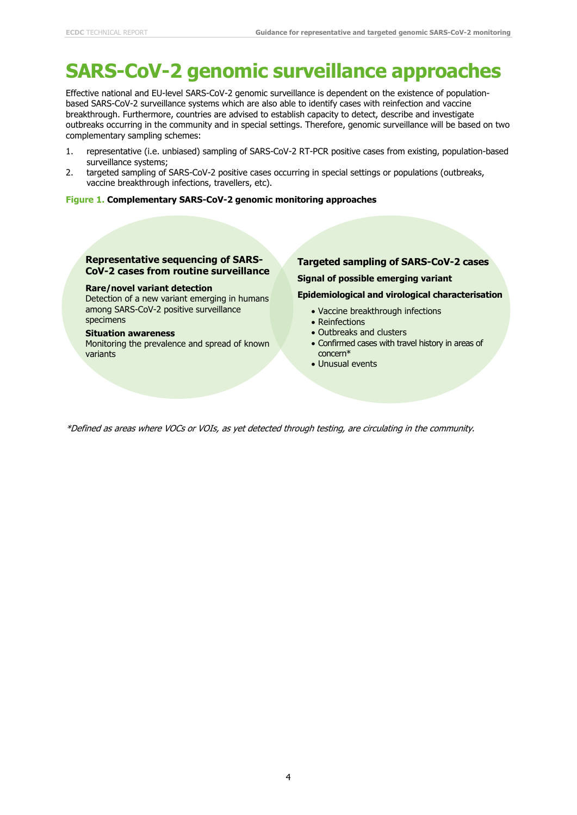# **SARS-CoV-2 genomic surveillance approaches**

Effective national and EU-level SARS-CoV-2 genomic surveillance is dependent on the existence of populationbased SARS-CoV-2 surveillance systems which are also able to identify cases with reinfection and vaccine breakthrough. Furthermore, countries are advised to establish capacity to detect, describe and investigate outbreaks occurring in the community and in special settings. Therefore, genomic surveillance will be based on two complementary sampling schemes:

- 1. representative (i.e. unbiased) sampling of SARS-CoV-2 RT-PCR positive cases from existing, population-based surveillance systems;
- 2. targeted sampling of SARS-CoV-2 positive cases occurring in special settings or populations (outbreaks, vaccine breakthrough infections, travellers, etc).

#### **Figure 1. Complementary SARS-CoV-2 genomic monitoring approaches**

#### **Representative sequencing of SARS-CoV-2 cases from routine surveillance**

#### **Rare/novel variant detection**

Detection of a new variant emerging in humans among SARS-CoV-2 positive surveillance specimens

#### **Situation awareness**

Monitoring the prevalence and spread of known variants

### **Targeted sampling of SARS-CoV-2 cases Signal of possible emerging variant**

#### **Epidemiological and virological characterisation**

- Vaccine breakthrough infections
- Reinfections
- Outbreaks and clusters
- Confirmed cases with travel history in areas of concern\*
- Unusual events

\*Defined as areas where VOCs or VOIs, as yet detected through testing, are circulating in the community.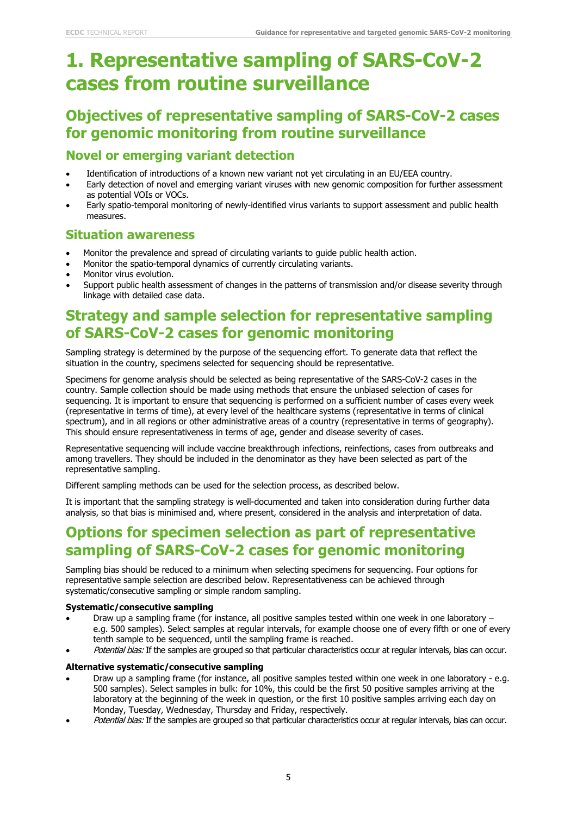# **1. Representative sampling of SARS-CoV-2 cases from routine surveillance**

# **Objectives of representative sampling of SARS-CoV-2 cases for genomic monitoring from routine surveillance**

### **Novel or emerging variant detection**

- Identification of introductions of a known new variant not yet circulating in an EU/EEA country.
- Early detection of novel and emerging variant viruses with new genomic composition for further assessment as potential VOIs or VOCs.
- Early spatio-temporal monitoring of newly-identified virus variants to support assessment and public health measures.

#### **Situation awareness**

- Monitor the prevalence and spread of circulating variants to guide public health action.
- Monitor the spatio-temporal dynamics of currently circulating variants.
- Monitor virus evolution.
- Support public health assessment of changes in the patterns of transmission and/or disease severity through linkage with detailed case data.

# **Strategy and sample selection for representative sampling of SARS-CoV-2 cases for genomic monitoring**

Sampling strategy is determined by the purpose of the sequencing effort. To generate data that reflect the situation in the country, specimens selected for sequencing should be representative.

Specimens for genome analysis should be selected as being representative of the SARS-CoV-2 cases in the country. Sample collection should be made using methods that ensure the unbiased selection of cases for sequencing. It is important to ensure that sequencing is performed on a sufficient number of cases every week (representative in terms of time), at every level of the healthcare systems (representative in terms of clinical spectrum), and in all regions or other administrative areas of a country (representative in terms of geography). This should ensure representativeness in terms of age, gender and disease severity of cases.

Representative sequencing will include vaccine breakthrough infections, reinfections, cases from outbreaks and among travellers. They should be included in the denominator as they have been selected as part of the representative sampling.

Different sampling methods can be used for the selection process, as described below.

It is important that the sampling strategy is well-documented and taken into consideration during further data analysis, so that bias is minimised and, where present, considered in the analysis and interpretation of data.

## **Options for specimen selection as part of representative sampling of SARS-CoV-2 cases for genomic monitoring**

Sampling bias should be reduced to a minimum when selecting specimens for sequencing. Four options for representative sample selection are described below. Representativeness can be achieved through systematic/consecutive sampling or simple random sampling.

#### **Systematic/consecutive sampling**

- Draw up a sampling frame (for instance, all positive samples tested within one week in one laboratory e.g. 500 samples). Select samples at regular intervals, for example choose one of every fifth or one of every tenth sample to be sequenced, until the sampling frame is reached.
- Potential bias: If the samples are grouped so that particular characteristics occur at regular intervals, bias can occur.

#### **Alternative systematic/consecutive sampling**

- Draw up a sampling frame (for instance, all positive samples tested within one week in one laboratory e.g. 500 samples). Select samples in bulk: for 10%, this could be the first 50 positive samples arriving at the laboratory at the beginning of the week in question, or the first 10 positive samples arriving each day on Monday, Tuesday, Wednesday, Thursday and Friday, respectively.
- Potential bias: If the samples are grouped so that particular characteristics occur at regular intervals, bias can occur.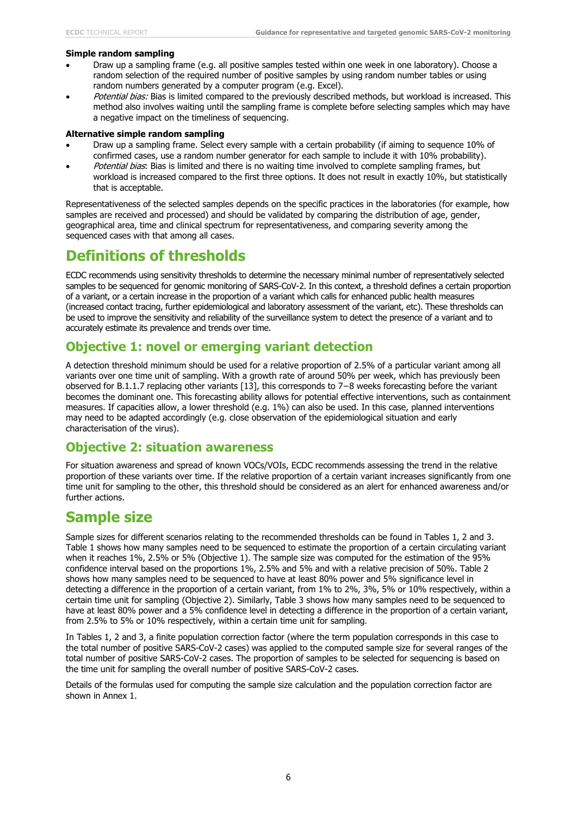#### **Simple random sampling**

- Draw up a sampling frame (e.g. all positive samples tested within one week in one laboratory). Choose a random selection of the required number of positive samples by using random number tables or using random numbers generated by a computer program (e.g. Excel).
- Potential bias: Bias is limited compared to the previously described methods, but workload is increased. This method also involves waiting until the sampling frame is complete before selecting samples which may have a negative impact on the timeliness of sequencing.

#### **Alternative simple random sampling**

- Draw up a sampling frame. Select every sample with a certain probability (if aiming to sequence 10% of confirmed cases, use a random number generator for each sample to include it with 10% probability).
- Potential bias: Bias is limited and there is no waiting time involved to complete sampling frames, but workload is increased compared to the first three options. It does not result in exactly 10%, but statistically that is acceptable.

Representativeness of the selected samples depends on the specific practices in the laboratories (for example, how samples are received and processed) and should be validated by comparing the distribution of age, gender, geographical area, time and clinical spectrum for representativeness, and comparing severity among the sequenced cases with that among all cases.

## **Definitions of thresholds**

ECDC recommends using sensitivity thresholds to determine the necessary minimal number of representatively selected samples to be sequenced for genomic monitoring of SARS-CoV-2. In this context, a threshold defines a certain proportion of a variant, or a certain increase in the proportion of a variant which calls for enhanced public health measures (increased contact tracing, further epidemiological and laboratory assessment of the variant, etc). These thresholds can be used to improve the sensitivity and reliability of the surveillance system to detect the presence of a variant and to accurately estimate its prevalence and trends over time.

### **Objective 1: novel or emerging variant detection**

A detection threshold minimum should be used for a relative proportion of 2.5% of a particular variant among all variants over one time unit of sampling. With a growth rate of around 50% per week, which has previously been observed for B.1.1.7 replacing other variants [13], this corresponds to 7−8 weeks forecasting before the variant becomes the dominant one. This forecasting ability allows for potential effective interventions, such as containment measures. If capacities allow, a lower threshold (e.g. 1%) can also be used. In this case, planned interventions may need to be adapted accordingly (e.g. close observation of the epidemiological situation and early characterisation of the virus).

### **Objective 2: situation awareness**

For situation awareness and spread of known VOCs/VOIs, ECDC recommends assessing the trend in the relative proportion of these variants over time. If the relative proportion of a certain variant increases significantly from one time unit for sampling to the other, this threshold should be considered as an alert for enhanced awareness and/or further actions.

## **Sample size**

Sample sizes for different scenarios relating to the recommended thresholds can be found in Tables 1, 2 and 3. Table 1 shows how many samples need to be sequenced to estimate the proportion of a certain circulating variant when it reaches 1%, 2.5% or 5% (Objective 1). The sample size was computed for the estimation of the 95% confidence interval based on the proportions 1%, 2.5% and 5% and with a relative precision of 50%. Table 2 shows how many samples need to be sequenced to have at least 80% power and 5% significance level in detecting a difference in the proportion of a certain variant, from 1% to 2%, 3%, 5% or 10% respectively, within a certain time unit for sampling (Objective 2). Similarly, Table 3 shows how many samples need to be sequenced to have at least 80% power and a 5% confidence level in detecting a difference in the proportion of a certain variant, from 2.5% to 5% or 10% respectively, within a certain time unit for sampling.

In Tables 1, 2 and 3, a finite population correction factor (where the term population corresponds in this case to the total number of positive SARS-CoV-2 cases) was applied to the computed sample size for several ranges of the total number of positive SARS-CoV-2 cases. The proportion of samples to be selected for sequencing is based on the time unit for sampling the overall number of positive SARS-CoV-2 cases.

Details of the formulas used for computing the sample size calculation and the population correction factor are shown in Annex 1.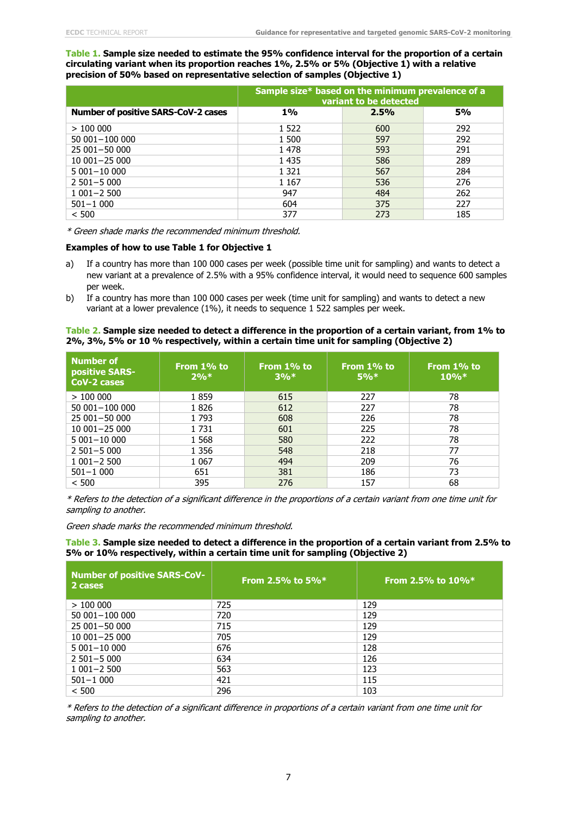**Table 1. Sample size needed to estimate the 95% confidence interval for the proportion of a certain circulating variant when its proportion reaches 1%, 2.5% or 5% (Objective 1) with a relative precision of 50% based on representative selection of samples (Objective 1)**

|                                     | Sample size* based on the minimum prevalence of a<br>variant to be detected |      |     |  |
|-------------------------------------|-----------------------------------------------------------------------------|------|-----|--|
| Number of positive SARS-CoV-2 cases | 1%                                                                          | 2.5% | 5%  |  |
| >100000                             | 1 522                                                                       | 600  | 292 |  |
| 50 001-100 000                      | 1 500                                                                       | 597  | 292 |  |
| 25 001-50 000                       | 1 4 7 8                                                                     | 593  | 291 |  |
| $10001 - 25000$                     | 1 4 3 5                                                                     | 586  | 289 |  |
| $5001 - 10000$                      | 1 3 2 1                                                                     | 567  | 284 |  |
| $2501 - 5000$                       | 1 1 6 7                                                                     | 536  | 276 |  |
| $1001 - 2500$                       | 947                                                                         | 484  | 262 |  |
| $501 - 1000$                        | 604                                                                         | 375  | 227 |  |
| < 500                               | 377                                                                         | 273  | 185 |  |

\* Green shade marks the recommended minimum threshold.

#### **Examples of how to use Table 1 for Objective 1**

- a) If a country has more than 100 000 cases per week (possible time unit for sampling) and wants to detect a new variant at a prevalence of 2.5% with a 95% confidence interval, it would need to sequence 600 samples per week.
- b) If a country has more than 100 000 cases per week (time unit for sampling) and wants to detect a new variant at a lower prevalence (1%), it needs to sequence 1 522 samples per week.

#### **Table 2. Sample size needed to detect a difference in the proportion of a certain variant, from 1% to 2%, 3%, 5% or 10 % respectively, within a certain time unit for sampling (Objective 2)**

| <b>Number of</b><br><b>positive SARS-</b><br>CoV-2 cases | From 1% to<br>2% | From 1% to<br>3% | From 1% to<br>$5\%*$ | From 1% to<br>$10\%*$ |
|----------------------------------------------------------|------------------|------------------|----------------------|-----------------------|
| >100000                                                  | 1859             | 615              | 227                  | 78                    |
| 50 001-100 000                                           | 1826             | 612              | 227                  | 78                    |
| 25 001 - 50 000                                          | 1793             | 608              | 226                  | 78                    |
| 10 001-25 000                                            | 1731             | 601              | 225                  | 78                    |
| $5001 - 10000$                                           | 1 5 6 8          | 580              | 222                  | 78                    |
| $2501 - 5000$                                            | 1 3 5 6          | 548              | 218                  | 77                    |
| $1001 - 2500$                                            | 1 0 6 7          | 494              | 209                  | 76                    |
| $501 - 1000$                                             | 651              | 381              | 186                  | 73                    |
| < 500                                                    | 395              | 276              | 157                  | 68                    |

\* Refers to the detection of a significant difference in the proportions of a certain variant from one time unit for sampling to another.

Green shade marks the recommended minimum threshold.

**Table 3. Sample size needed to detect a difference in the proportion of a certain variant from 2.5% to 5% or 10% respectively, within a certain time unit for sampling (Objective 2)**

| <b>Number of positive SARS-CoV-</b><br>2 cases | From 2.5% to $5\%$ * | From 2.5% to $10\%*$ |
|------------------------------------------------|----------------------|----------------------|
| >100000                                        | 725                  | 129                  |
| 50 001-100 000                                 | 720                  | 129                  |
| 25 001-50 000                                  | 715                  | 129                  |
| $10001 - 25000$                                | 705                  | 129                  |
| $5001 - 10000$                                 | 676                  | 128                  |
| $2501 - 5000$                                  | 634                  | 126                  |
| $1001 - 2500$                                  | 563                  | 123                  |
| $501 - 1000$                                   | 421                  | 115                  |
| < 500                                          | 296                  | 103                  |

\* Refers to the detection of a significant difference in proportions of a certain variant from one time unit for sampling to another.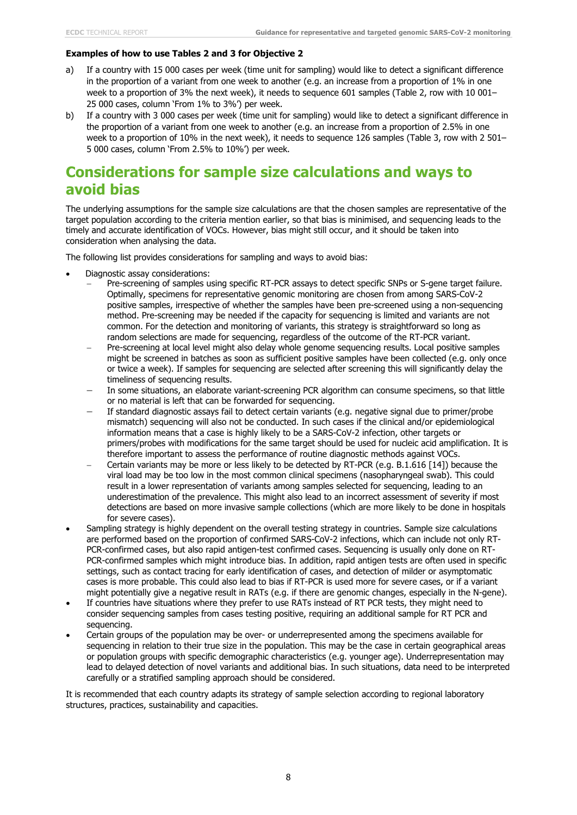#### **Examples of how to use Tables 2 and 3 for Objective 2**

- a) If a country with 15 000 cases per week (time unit for sampling) would like to detect a significant difference in the proportion of a variant from one week to another (e.g. an increase from a proportion of 1% in one week to a proportion of 3% the next week), it needs to sequence 601 samples (Table 2, row with 10 001– 25 000 cases, column 'From 1% to 3%') per week.
- b) If a country with 3 000 cases per week (time unit for sampling) would like to detect a significant difference in the proportion of a variant from one week to another (e.g. an increase from a proportion of 2.5% in one week to a proportion of 10% in the next week), it needs to sequence 126 samples (Table 3, row with 2 501– 5 000 cases, column 'From 2.5% to 10%') per week.

## **Considerations for sample size calculations and ways to avoid bias**

The underlying assumptions for the sample size calculations are that the chosen samples are representative of the target population according to the criteria mention earlier, so that bias is minimised, and sequencing leads to the timely and accurate identification of VOCs. However, bias might still occur, and it should be taken into consideration when analysing the data.

The following list provides considerations for sampling and ways to avoid bias:

- Diagnostic assay considerations:
	- − Pre-screening of samples using specific RT-PCR assays to detect specific SNPs or S-gene target failure. Optimally, specimens for representative genomic monitoring are chosen from among SARS-CoV-2 positive samples, irrespective of whether the samples have been pre-screened using a non-sequencing method. Pre-screening may be needed if the capacity for sequencing is limited and variants are not common. For the detection and monitoring of variants, this strategy is straightforward so long as random selections are made for sequencing, regardless of the outcome of the RT-PCR variant.
	- − Pre-screening at local level might also delay whole genome sequencing results. Local positive samples might be screened in batches as soon as sufficient positive samples have been collected (e.g. only once or twice a week). If samples for sequencing are selected after screening this will significantly delay the timeliness of sequencing results.
	- In some situations, an elaborate variant-screening PCR algorithm can consume specimens, so that little or no material is left that can be forwarded for sequencing.
	- If standard diagnostic assays fail to detect certain variants (e.g. negative signal due to primer/probe mismatch) sequencing will also not be conducted. In such cases if the clinical and/or epidemiological information means that a case is highly likely to be a SARS-CoV-2 infection, other targets or primers/probes with modifications for the same target should be used for nucleic acid amplification. It is therefore important to assess the performance of routine diagnostic methods against VOCs.
	- − Certain variants may be more or less likely to be detected by RT-PCR (e.g. B.1.616 [14]) because the viral load may be too low in the most common clinical specimens (nasopharyngeal swab). This could result in a lower representation of variants among samples selected for sequencing, leading to an underestimation of the prevalence. This might also lead to an incorrect assessment of severity if most detections are based on more invasive sample collections (which are more likely to be done in hospitals for severe cases).
- Sampling strategy is highly dependent on the overall testing strategy in countries. Sample size calculations are performed based on the proportion of confirmed SARS-CoV-2 infections, which can include not only RT-PCR-confirmed cases, but also rapid antigen-test confirmed cases. Sequencing is usually only done on RT-PCR-confirmed samples which might introduce bias. In addition, rapid antigen tests are often used in specific settings, such as contact tracing for early identification of cases, and detection of milder or asymptomatic cases is more probable. This could also lead to bias if RT-PCR is used more for severe cases, or if a variant might potentially give a negative result in RATs (e.g. if there are genomic changes, especially in the N-gene).
- If countries have situations where they prefer to use RATs instead of RT PCR tests, they might need to consider sequencing samples from cases testing positive, requiring an additional sample for RT PCR and sequencing.
- Certain groups of the population may be over- or underrepresented among the specimens available for sequencing in relation to their true size in the population. This may be the case in certain geographical areas or population groups with specific demographic characteristics (e.g. younger age). Underrepresentation may lead to delayed detection of novel variants and additional bias. In such situations, data need to be interpreted carefully or a stratified sampling approach should be considered.

It is recommended that each country adapts its strategy of sample selection according to regional laboratory structures, practices, sustainability and capacities.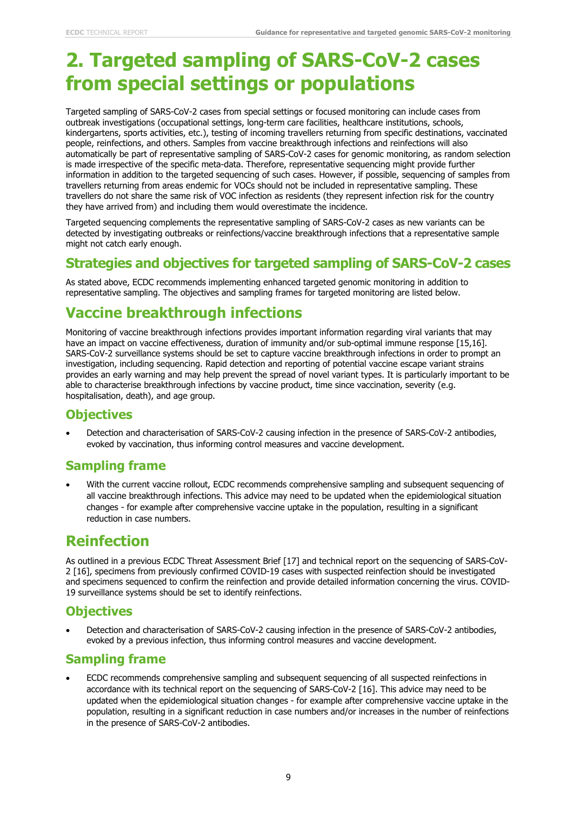# **2. Targeted sampling of SARS-CoV-2 cases from special settings or populations**

Targeted sampling of SARS-CoV-2 cases from special settings or focused monitoring can include cases from outbreak investigations (occupational settings, long-term care facilities, healthcare institutions, schools, kindergartens, sports activities, etc.), testing of incoming travellers returning from specific destinations, vaccinated people, reinfections, and others. Samples from vaccine breakthrough infections and reinfections will also automatically be part of representative sampling of SARS-CoV-2 cases for genomic monitoring, as random selection is made irrespective of the specific meta-data. Therefore, representative sequencing might provide further information in addition to the targeted sequencing of such cases. However, if possible, sequencing of samples from travellers returning from areas endemic for VOCs should not be included in representative sampling. These travellers do not share the same risk of VOC infection as residents (they represent infection risk for the country they have arrived from) and including them would overestimate the incidence.

Targeted sequencing complements the representative sampling of SARS-CoV-2 cases as new variants can be detected by investigating outbreaks or reinfections/vaccine breakthrough infections that a representative sample might not catch early enough.

## **Strategies and objectives for targeted sampling of SARS-CoV-2 cases**

As stated above, ECDC recommends implementing enhanced targeted genomic monitoring in addition to representative sampling. The objectives and sampling frames for targeted monitoring are listed below.

# **Vaccine breakthrough infections**

Monitoring of vaccine breakthrough infections provides important information regarding viral variants that may have an impact on vaccine effectiveness, duration of immunity and/or sub-optimal immune response [15,16]. SARS-CoV-2 surveillance systems should be set to capture vaccine breakthrough infections in order to prompt an investigation, including sequencing. Rapid detection and reporting of potential vaccine escape variant strains provides an early warning and may help prevent the spread of novel variant types. It is particularly important to be able to characterise breakthrough infections by vaccine product, time since vaccination, severity (e.g. hospitalisation, death), and age group.

### **Objectives**

• Detection and characterisation of SARS-CoV-2 causing infection in the presence of SARS-CoV-2 antibodies, evoked by vaccination, thus informing control measures and vaccine development.

## **Sampling frame**

• With the current vaccine rollout, ECDC recommends comprehensive sampling and subsequent sequencing of all vaccine breakthrough infections. This advice may need to be updated when the epidemiological situation changes - for example after comprehensive vaccine uptake in the population, resulting in a significant reduction in case numbers.

## **Reinfection**

As outlined in a previous ECDC Threat Assessment Brief [17] and technical report on the sequencing of SARS-CoV-2 [16], specimens from previously confirmed COVID-19 cases with suspected reinfection should be investigated and specimens sequenced to confirm the reinfection and provide detailed information concerning the virus. COVID-19 surveillance systems should be set to identify reinfections.

## **Objectives**

• Detection and characterisation of SARS-CoV-2 causing infection in the presence of SARS-CoV-2 antibodies, evoked by a previous infection, thus informing control measures and vaccine development.

### **Sampling frame**

• ECDC recommends comprehensive sampling and subsequent sequencing of all suspected reinfections in accordance with its technical report on the sequencing of SARS-CoV-2 [16]. This advice may need to be updated when the epidemiological situation changes - for example after comprehensive vaccine uptake in the population, resulting in a significant reduction in case numbers and/or increases in the number of reinfections in the presence of SARS-CoV-2 antibodies.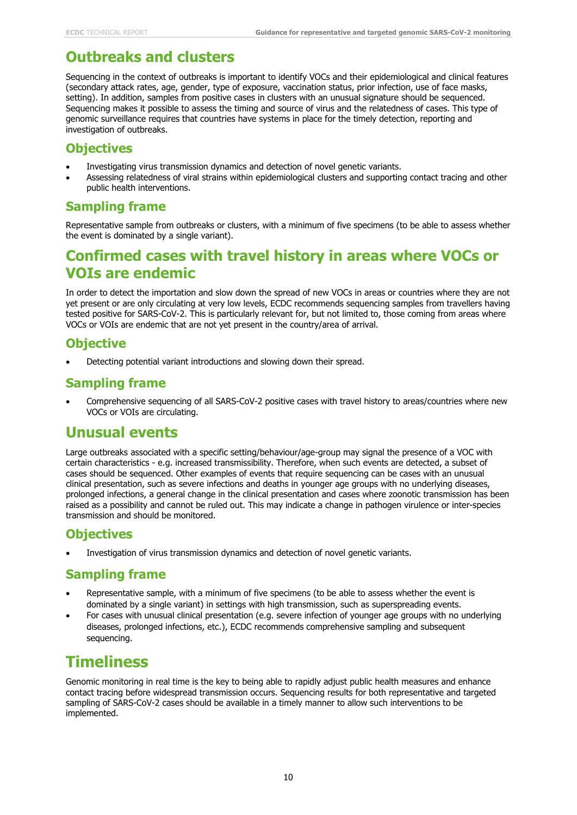# **Outbreaks and clusters**

Sequencing in the context of outbreaks is important to identify VOCs and their epidemiological and clinical features (secondary attack rates, age, gender, type of exposure, vaccination status, prior infection, use of face masks, setting). In addition, samples from positive cases in clusters with an unusual signature should be sequenced. Sequencing makes it possible to assess the timing and source of virus and the relatedness of cases. This type of genomic surveillance requires that countries have systems in place for the timely detection, reporting and investigation of outbreaks.

### **Objectives**

- Investigating virus transmission dynamics and detection of novel genetic variants.
- Assessing relatedness of viral strains within epidemiological clusters and supporting contact tracing and other public health interventions.

### **Sampling frame**

Representative sample from outbreaks or clusters, with a minimum of five specimens (to be able to assess whether the event is dominated by a single variant).

## **Confirmed cases with travel history in areas where VOCs or VOIs are endemic**

In order to detect the importation and slow down the spread of new VOCs in areas or countries where they are not yet present or are only circulating at very low levels, ECDC recommends sequencing samples from travellers having tested positive for SARS-CoV-2. This is particularly relevant for, but not limited to, those coming from areas where VOCs or VOIs are endemic that are not yet present in the country/area of arrival.

## **Objective**

• Detecting potential variant introductions and slowing down their spread.

## **Sampling frame**

• Comprehensive sequencing of all SARS-CoV-2 positive cases with travel history to areas/countries where new VOCs or VOIs are circulating.

## **Unusual events**

Large outbreaks associated with a specific setting/behaviour/age-group may signal the presence of a VOC with certain characteristics - e.g. increased transmissibility. Therefore, when such events are detected, a subset of cases should be sequenced. Other examples of events that require sequencing can be cases with an unusual clinical presentation, such as severe infections and deaths in younger age groups with no underlying diseases, prolonged infections, a general change in the clinical presentation and cases where zoonotic transmission has been raised as a possibility and cannot be ruled out. This may indicate a change in pathogen virulence or inter-species transmission and should be monitored.

## **Objectives**

Investigation of virus transmission dynamics and detection of novel genetic variants.

### **Sampling frame**

- Representative sample, with a minimum of five specimens (to be able to assess whether the event is dominated by a single variant) in settings with high transmission, such as superspreading events.
- For cases with unusual clinical presentation (e.g. severe infection of younger age groups with no underlying diseases, prolonged infections, etc.), ECDC recommends comprehensive sampling and subsequent sequencing.

# **Timeliness**

Genomic monitoring in real time is the key to being able to rapidly adjust public health measures and enhance contact tracing before widespread transmission occurs. Sequencing results for both representative and targeted sampling of SARS-CoV-2 cases should be available in a timely manner to allow such interventions to be implemented.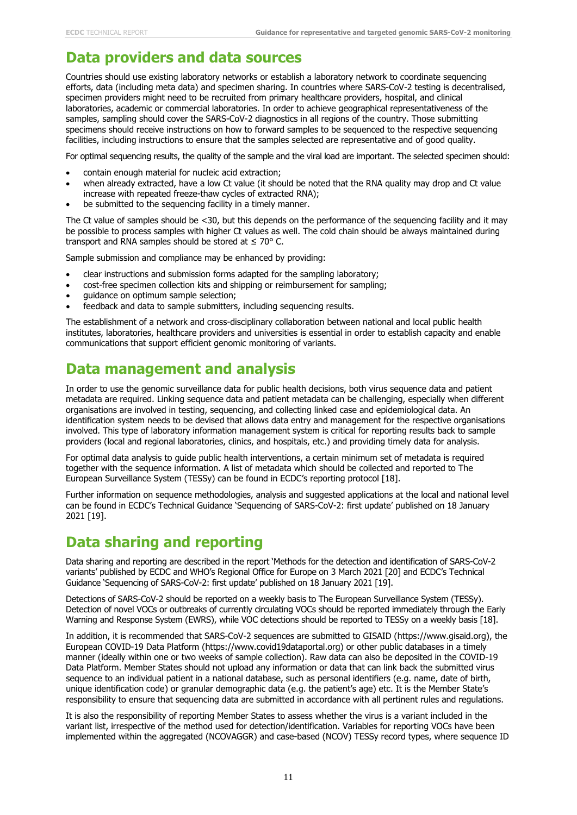## **Data providers and data sources**

Countries should use existing laboratory networks or establish a laboratory network to coordinate sequencing efforts, data (including meta data) and specimen sharing. In countries where SARS-CoV-2 testing is decentralised, specimen providers might need to be recruited from primary healthcare providers, hospital, and clinical laboratories, academic or commercial laboratories. In order to achieve geographical representativeness of the samples, sampling should cover the SARS-CoV-2 diagnostics in all regions of the country. Those submitting specimens should receive instructions on how to forward samples to be sequenced to the respective sequencing facilities, including instructions to ensure that the samples selected are representative and of good quality.

For optimal sequencing results, the quality of the sample and the viral load are important. The selected specimen should:

- contain enough material for nucleic acid extraction;
- when already extracted, have a low Ct value (it should be noted that the RNA quality may drop and Ct value increase with repeated freeze-thaw cycles of extracted RNA);
- be submitted to the sequencing facility in a timely manner.

The Ct value of samples should be  $\lt 30$ , but this depends on the performance of the sequencing facility and it may be possible to process samples with higher Ct values as well. The cold chain should be always maintained during transport and RNA samples should be stored at  $\leq 70^{\circ}$  C.

Sample submission and compliance may be enhanced by providing:

- clear instructions and submission forms adapted for the sampling laboratory;
- cost-free specimen collection kits and shipping or reimbursement for sampling;
- guidance on optimum sample selection;
- feedback and data to sample submitters, including sequencing results.

The establishment of a network and cross-disciplinary collaboration between national and local public health institutes, laboratories, healthcare providers and universities is essential in order to establish capacity and enable communications that support efficient genomic monitoring of variants.

## **Data management and analysis**

In order to use the genomic surveillance data for public health decisions, both virus sequence data and patient metadata are required. Linking sequence data and patient metadata can be challenging, especially when different organisations are involved in testing, sequencing, and collecting linked case and epidemiological data. An identification system needs to be devised that allows data entry and management for the respective organisations involved. This type of laboratory information management system is critical for reporting results back to sample providers (local and regional laboratories, clinics, and hospitals, etc.) and providing timely data for analysis.

For optimal data analysis to guide public health interventions, a certain minimum set of metadata is required together with the sequence information. A list of metadata which should be collected and reported to The European Surveillance System (TESSy) can be found in ECDC's reporting protocol [18].

Further information on sequence methodologies, analysis and suggested applications at the local and national level can be found in ECDC's Technical Guidance 'Sequencing of SARS-CoV-2: first update' published on 18 January 2021 [19].

## **Data sharing and reporting**

Data sharing and reporting are described in the report 'Methods for the detection and identification of SARS-CoV-2 variants' published by ECDC and WHO's Regional Office for Europe on 3 March 2021 [20] and ECDC's Technical Guidance 'Sequencing of SARS-CoV-2: first update' published on 18 January 2021 [19].

Detections of SARS-CoV-2 should be reported on a weekly basis to The European Surveillance System (TESSy). Detection of novel VOCs or outbreaks of currently circulating VOCs should be reported immediately through the Early Warning and Response System (EWRS), while VOC detections should be reported to TESSy on a weekly basis [18].

In addition, it is recommended that SARS-CoV-2 sequences are submitted to GISAID (https://www.gisaid.org), the European COVID-19 Data Platform (https://www.covid19dataportal.org) or other public databases in a timely manner (ideally within one or two weeks of sample collection). Raw data can also be deposited in the COVID-19 Data Platform. Member States should not upload any information or data that can link back the submitted virus sequence to an individual patient in a national database, such as personal identifiers (e.g. name, date of birth, unique identification code) or granular demographic data (e.g. the patient's age) etc. It is the Member State's responsibility to ensure that sequencing data are submitted in accordance with all pertinent rules and regulations.

It is also the responsibility of reporting Member States to assess whether the virus is a variant included in the variant list, irrespective of the method used for detection/identification. Variables for reporting VOCs have been implemented within the aggregated (NCOVAGGR) and case-based (NCOV) TESSy record types, where sequence ID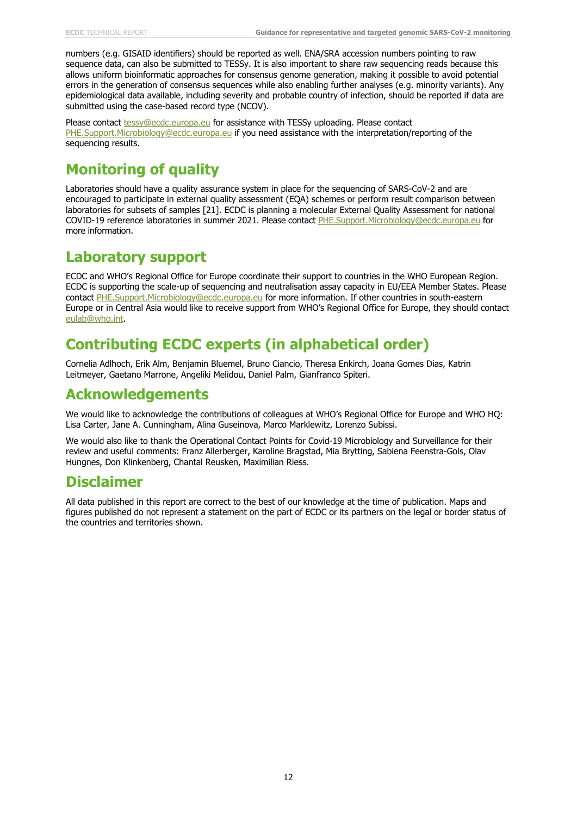numbers (e.g. GISAID identifiers) should be reported as well. ENA/SRA accession numbers pointing to raw sequence data, can also be submitted to TESSy. It is also important to share raw sequencing reads because this allows uniform bioinformatic approaches for consensus genome generation, making it possible to avoid potential errors in the generation of consensus sequences while also enabling further analyses (e.g. minority variants). Any epidemiological data available, including severity and probable country of infection, should be reported if data are submitted using the case-based record type (NCOV).

Please contact [tessy@ecdc.europa.eu](mailto:tessy@ecdc.europa.eu) for assistance with TESSy uploading. Please contact [PHE.Support.Microbiology@ecdc.europa.eu](mailto:PHE.Support.Microbiology@ecdc.europa.eu) if you need assistance with the interpretation/reporting of the sequencing results.

# **Monitoring of quality**

Laboratories should have a quality assurance system in place for the sequencing of SARS-CoV-2 and are encouraged to participate in external quality assessment (EQA) schemes or perform result comparison between laboratories for subsets of samples [21]. ECDC is planning a molecular External Quality Assessment for national COVID-19 reference laboratories in summer 2021. Please contact [PHE.Support.Microbiology@ecdc.europa.eu](mailto:PHE.Support.Microbiology@ecdc.europa.eu) for more information.

## **Laboratory support**

ECDC and WHO's Regional Office for Europe coordinate their support to countries in the WHO European Region. ECDC is supporting the scale-up of sequencing and neutralisation assay capacity in EU/EEA Member States. Please contact [PHE.Support.Microbiology@ecdc.europa.eu](mailto:PHE.Support.Microbiology@ecdc.europa.eu) for more information. If other countries in south-eastern Europe or in Central Asia would like to receive support from WHO's Regional Office for Europe, they should contact [eulab@who.int.](mailto:eulab@who.int)

# **Contributing ECDC experts (in alphabetical order)**

Cornelia Adlhoch, Erik Alm, Benjamin Bluemel, Bruno Ciancio, Theresa Enkirch, Joana Gomes Dias, Katrin Leitmeyer, Gaetano Marrone, Angeliki Melidou, Daniel Palm, Gianfranco Spiteri.

# **Acknowledgements**

We would like to acknowledge the contributions of colleagues at WHO's Regional Office for Europe and WHO HQ: Lisa Carter, Jane A. Cunningham, Alina Guseinova, Marco Marklewitz, Lorenzo Subissi.

We would also like to thank the Operational Contact Points for Covid-19 Microbiology and Surveillance for their review and useful comments: Franz Allerberger, Karoline Bragstad, Mia Brytting, Sabiena Feenstra-Gols, Olav Hungnes, Don Klinkenberg, Chantal Reusken, Maximilian Riess.

## **Disclaimer**

All data published in this report are correct to the best of our knowledge at the time of publication. Maps and figures published do not represent a statement on the part of ECDC or its partners on the legal or border status of the countries and territories shown.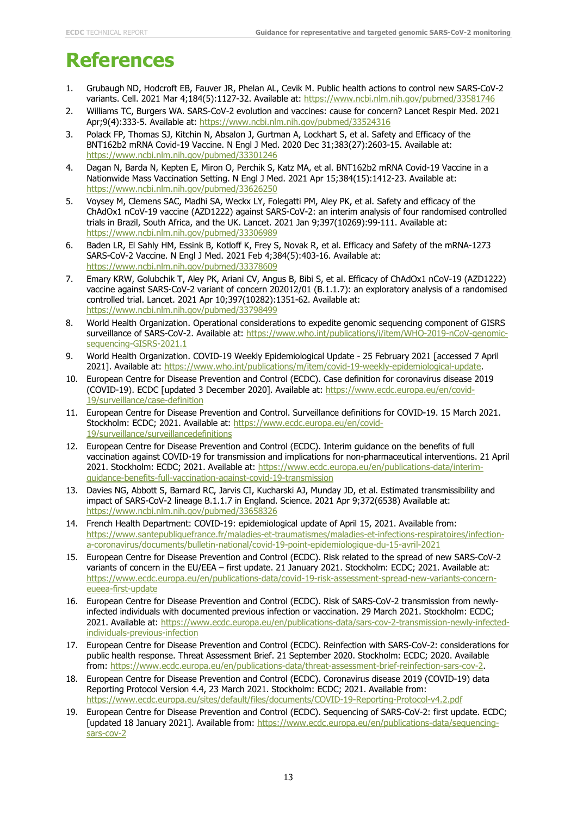# **References**

- 1. Grubaugh ND, Hodcroft EB, Fauver JR, Phelan AL, Cevik M. Public health actions to control new SARS-CoV-2 variants. Cell. 2021 Mar 4;184(5):1127-32. Available at:<https://www.ncbi.nlm.nih.gov/pubmed/33581746>
- 2. Williams TC, Burgers WA. SARS-CoV-2 evolution and vaccines: cause for concern? Lancet Respir Med. 2021 Apr;9(4):333-5. Available at:<https://www.ncbi.nlm.nih.gov/pubmed/33524316>
- 3. Polack FP, Thomas SJ, Kitchin N, Absalon J, Gurtman A, Lockhart S, et al. Safety and Efficacy of the BNT162b2 mRNA Covid-19 Vaccine. N Engl J Med. 2020 Dec 31;383(27):2603-15. Available at: <https://www.ncbi.nlm.nih.gov/pubmed/33301246>
- 4. Dagan N, Barda N, Kepten E, Miron O, Perchik S, Katz MA, et al. BNT162b2 mRNA Covid-19 Vaccine in a Nationwide Mass Vaccination Setting. N Engl J Med. 2021 Apr 15;384(15):1412-23. Available at: <https://www.ncbi.nlm.nih.gov/pubmed/33626250>
- 5. Voysey M, Clemens SAC, Madhi SA, Weckx LY, Folegatti PM, Aley PK, et al. Safety and efficacy of the ChAdOx1 nCoV-19 vaccine (AZD1222) against SARS-CoV-2: an interim analysis of four randomised controlled trials in Brazil, South Africa, and the UK. Lancet. 2021 Jan 9;397(10269):99-111. Available at: <https://www.ncbi.nlm.nih.gov/pubmed/33306989>
- 6. Baden LR, El Sahly HM, Essink B, Kotloff K, Frey S, Novak R, et al. Efficacy and Safety of the mRNA-1273 SARS-CoV-2 Vaccine. N Engl J Med. 2021 Feb 4;384(5):403-16. Available at: <https://www.ncbi.nlm.nih.gov/pubmed/33378609>
- 7. Emary KRW, Golubchik T, Aley PK, Ariani CV, Angus B, Bibi S, et al. Efficacy of ChAdOx1 nCoV-19 (AZD1222) vaccine against SARS-CoV-2 variant of concern 202012/01 (B.1.1.7): an exploratory analysis of a randomised controlled trial. Lancet. 2021 Apr 10;397(10282):1351-62. Available at: <https://www.ncbi.nlm.nih.gov/pubmed/33798499>
- 8. World Health Organization. Operational considerations to expedite genomic sequencing component of GISRS surveillance of SARS-CoV-2. Available at: [https://www.who.int/publications/i/item/WHO-2019-nCoV-genomic](https://www.who.int/publications/i/item/WHO-2019-nCoV-genomic-sequencing-GISRS-2021.1)[sequencing-GISRS-2021.1](https://www.who.int/publications/i/item/WHO-2019-nCoV-genomic-sequencing-GISRS-2021.1)
- 9. World Health Organization. COVID-19 Weekly Epidemiological Update 25 February 2021 [accessed 7 April 2021]. Available at: [https://www.who.int/publications/m/item/covid-19-weekly-epidemiological-update.](https://www.who.int/publications/m/item/covid-19-weekly-epidemiological-update)
- 10. European Centre for Disease Prevention and Control (ECDC). Case definition for coronavirus disease 2019 (COVID-19). ECDC [updated 3 December 2020]. Available at: [https://www.ecdc.europa.eu/en/covid-](https://www.ecdc.europa.eu/en/covid-19/surveillance/case-definition)[19/surveillance/case-definition](https://www.ecdc.europa.eu/en/covid-19/surveillance/case-definition)
- 11. European Centre for Disease Prevention and Control. Surveillance definitions for COVID-19. 15 March 2021. Stockholm: ECDC; 2021. Available at: [https://www.ecdc.europa.eu/en/covid-](https://www.ecdc.europa.eu/en/covid-19/surveillance/surveillancedefinitions)[19/surveillance/surveillancedefinitions](https://www.ecdc.europa.eu/en/covid-19/surveillance/surveillancedefinitions)
- 12. European Centre for Disease Prevention and Control (ECDC). Interim guidance on the benefits of full vaccination against COVID-19 for transmission and implications for non-pharmaceutical interventions. 21 April 2021. Stockholm: ECDC; 2021. Available at: [https://www.ecdc.europa.eu/en/publications-data/interim](https://www.ecdc.europa.eu/en/publications-data/interim-guidance-benefits-full-vaccination-against-covid-19-transmission)[guidance-benefits-full-vaccination-against-covid-19-transmission](https://www.ecdc.europa.eu/en/publications-data/interim-guidance-benefits-full-vaccination-against-covid-19-transmission)
- 13. Davies NG, Abbott S, Barnard RC, Jarvis CI, Kucharski AJ, Munday JD, et al. Estimated transmissibility and impact of SARS-CoV-2 lineage B.1.1.7 in England. Science. 2021 Apr 9;372(6538) Available at: <https://www.ncbi.nlm.nih.gov/pubmed/33658326>
- 14. French Health Department: COVID-19: epidemiological update of April 15, 2021. Available from: [https://www.santepubliquefrance.fr/maladies-et-traumatismes/maladies-et-infections-respiratoires/infection](https://www.santepubliquefrance.fr/maladies-et-traumatismes/maladies-et-infections-respiratoires/infection-a-coronavirus/documents/bulletin-national/covid-19-point-epidemiologique-du-15-avril-2021)[a-coronavirus/documents/bulletin-national/covid-19-point-epidemiologique-du-15-avril-2021](https://www.santepubliquefrance.fr/maladies-et-traumatismes/maladies-et-infections-respiratoires/infection-a-coronavirus/documents/bulletin-national/covid-19-point-epidemiologique-du-15-avril-2021)
- 15. European Centre for Disease Prevention and Control (ECDC). Risk related to the spread of new SARS-CoV-2 variants of concern in the EU/EEA – first update. 21 January 2021. Stockholm: ECDC; 2021. Available at: [https://www.ecdc.europa.eu/en/publications-data/covid-19-risk-assessment-spread-new-variants-concern](https://www.ecdc.europa.eu/en/publications-data/covid-19-risk-assessment-spread-new-variants-concern-eueea-first-update)[eueea-first-update](https://www.ecdc.europa.eu/en/publications-data/covid-19-risk-assessment-spread-new-variants-concern-eueea-first-update)
- 16. European Centre for Disease Prevention and Control (ECDC). Risk of SARS-CoV-2 transmission from newlyinfected individuals with documented previous infection or vaccination. 29 March 2021. Stockholm: ECDC; 2021. Available at: [https://www.ecdc.europa.eu/en/publications-data/sars-cov-2-transmission-newly-infected](https://www.ecdc.europa.eu/en/publications-data/sars-cov-2-transmission-newly-infected-individuals-previous-infection)[individuals-previous-infection](https://www.ecdc.europa.eu/en/publications-data/sars-cov-2-transmission-newly-infected-individuals-previous-infection)
- 17. European Centre for Disease Prevention and Control (ECDC). Reinfection with SARS-CoV-2: considerations for public health response. Threat Assessment Brief. 21 September 2020. Stockholm: ECDC; 2020. Available from: [https://www.ecdc.europa.eu/en/publications-data/threat-assessment-brief-reinfection-sars-cov-2.](https://www.ecdc.europa.eu/en/publications-data/threat-assessment-brief-reinfection-sars-cov-2)
- 18. European Centre for Disease Prevention and Control (ECDC). Coronavirus disease 2019 (COVID-19) data Reporting Protocol Version 4.4, 23 March 2021. Stockholm: ECDC; 2021. Available from: <https://www.ecdc.europa.eu/sites/default/files/documents/COVID-19-Reporting-Protocol-v4.2.pdf>
- 19. European Centre for Disease Prevention and Control (ECDC). Sequencing of SARS-CoV-2: first update. ECDC; [updated 18 January 2021]. Available from: [https://www.ecdc.europa.eu/en/publications-data/sequencing](https://www.ecdc.europa.eu/en/publications-data/sequencing-sars-cov-2)[sars-cov-2](https://www.ecdc.europa.eu/en/publications-data/sequencing-sars-cov-2)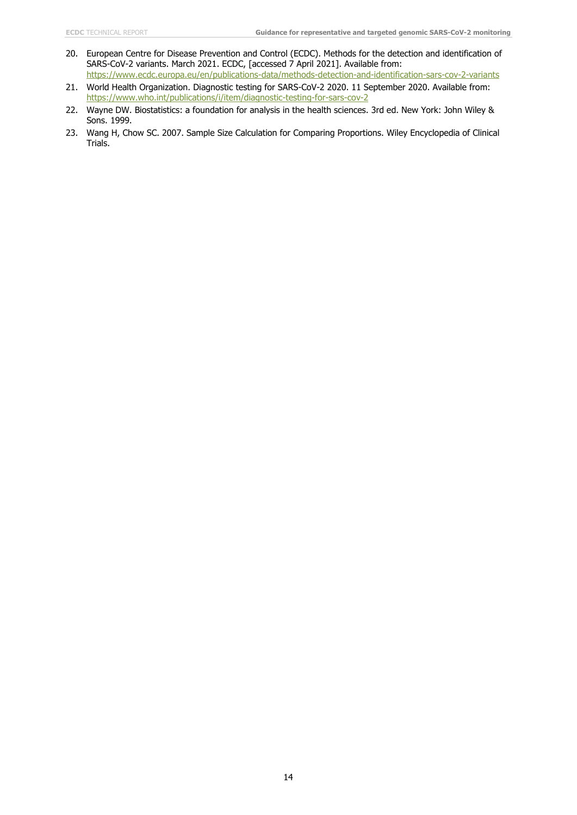- 20. European Centre for Disease Prevention and Control (ECDC). Methods for the detection and identification of SARS-CoV-2 variants. March 2021. ECDC, [accessed 7 April 2021]. Available from: <https://www.ecdc.europa.eu/en/publications-data/methods-detection-and-identification-sars-cov-2-variants>
- 21. World Health Organization. Diagnostic testing for SARS-CoV-2 2020. 11 September 2020. Available from: <https://www.who.int/publications/i/item/diagnostic-testing-for-sars-cov-2>
- 22. Wayne DW. Biostatistics: a foundation for analysis in the health sciences. 3rd ed. New York: John Wiley & Sons. 1999.
- 23. Wang H, Chow SC. 2007. Sample Size Calculation for Comparing Proportions. Wiley Encyclopedia of Clinical Trials.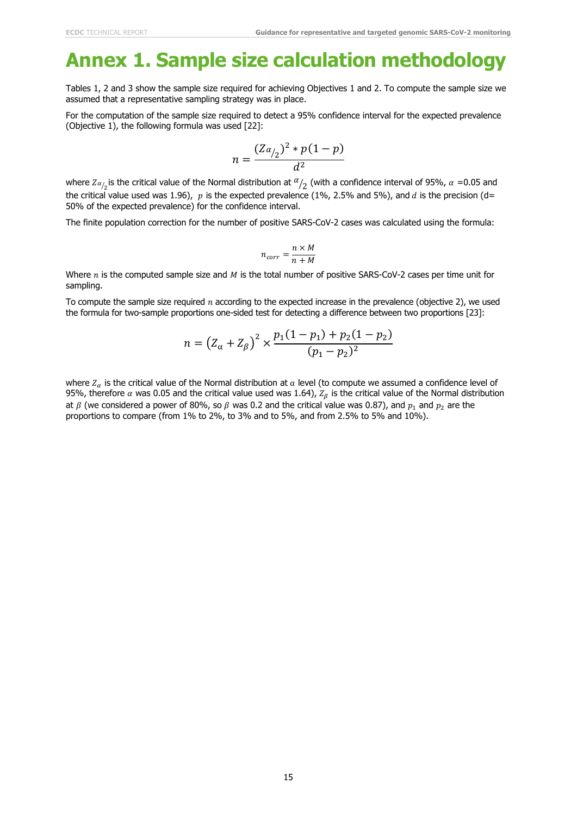# **Annex 1. Sample size calculation methodology**

Tables 1, 2 and 3 show the sample size required for achieving Objectives 1 and 2. To compute the sample size we assumed that a representative sampling strategy was in place.

For the computation of the sample size required to detect a 95% confidence interval for the expected prevalence (Objective 1), the following formula was used [22]:

$$
n = \frac{(Z\alpha_{12})^2 * p(1-p)}{d^2}
$$

where  $Z_{\alpha_{2}}$  is the critical value of the Normal distribution at  $\alpha_{2}$  (with a confidence interval of 95%,  $\alpha$  =0.05 and the critical value used was 1.96),  $p$  is the expected prevalence (1%, 2.5% and 5%), and  $d$  is the precision (d= 50% of the expected prevalence) for the confidence interval.

The finite population correction for the number of positive SARS-CoV-2 cases was calculated using the formula:

$$
n_{corr} = \frac{n \times M}{n + M}
$$

Where  $n$  is the computed sample size and  $M$  is the total number of positive SARS-CoV-2 cases per time unit for sampling.

To compute the sample size required  $n$  according to the expected increase in the prevalence (objective 2), we used the formula for two-sample proportions one-sided test for detecting a difference between two proportions [23]:

$$
n = (Z_{\alpha} + Z_{\beta})^2 \times \frac{p_1(1 - p_1) + p_2(1 - p_2)}{(p_1 - p_2)^2}
$$

where  $Z_\alpha$  is the critical value of the Normal distribution at  $\alpha$  level (to compute we assumed a confidence level of 95%, therefore  $\alpha$  was 0.05 and the critical value used was 1.64),  $Z_\beta$  is the critical value of the Normal distribution at  $\beta$  (we considered a power of 80%, so  $\beta$  was 0.2 and the critical value was 0.87), and  $p_1$  and  $p_2$  are the proportions to compare (from 1% to 2%, to 3% and to 5%, and from 2.5% to 5% and 10%).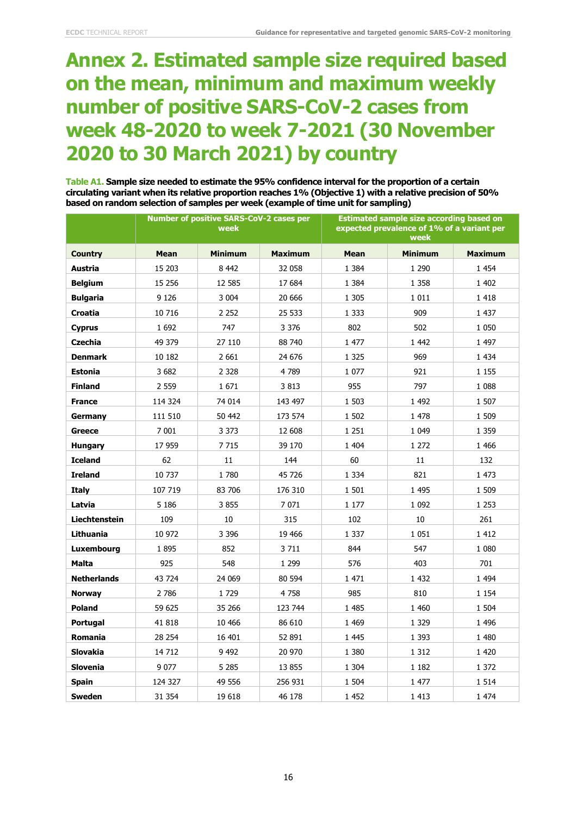# **Annex 2. Estimated sample size required based on the mean, minimum and maximum weekly number of positive SARS-CoV-2 cases from week 48-2020 to week 7-2021 (30 November 2020 to 30 March 2021) by country**

**Table A1. Sample size needed to estimate the 95% confidence interval for the proportion of a certain circulating variant when its relative proportion reaches 1% (Objective 1) with a relative precision of 50% based on random selection of samples per week (example of time unit for sampling)**

|                      | <b>Number of positive SARS-CoV-2 cases per</b><br>week |                |                | <b>Estimated sample size according based on</b><br>expected prevalence of 1% of a variant per<br>week |                |                |
|----------------------|--------------------------------------------------------|----------------|----------------|-------------------------------------------------------------------------------------------------------|----------------|----------------|
| <b>Country</b>       | <b>Mean</b>                                            | <b>Minimum</b> | <b>Maximum</b> | <b>Mean</b>                                                                                           | <b>Minimum</b> | <b>Maximum</b> |
| Austria              | 15 203                                                 | 8 4 4 2        | 32 058         | 1 3 8 4                                                                                               | 1 2 9 0        | 1 4 5 4        |
| <b>Belgium</b>       | 15 256                                                 | 12 5 85        | 17 684         | 1 3 8 4                                                                                               | 1 3 5 8        | 1 402          |
| <b>Bulgaria</b>      | 9 1 2 6                                                | 3 0 0 4        | 20 666         | 1 3 0 5                                                                                               | 1 0 1 1        | 1418           |
| Croatia              | 10 716                                                 | 2 2 5 2        | 25 533         | 1 3 3 3                                                                                               | 909            | 1 4 3 7        |
| <b>Cyprus</b>        | 1 6 9 2                                                | 747            | 3 3 7 6        | 802                                                                                                   | 502            | 1 0 5 0        |
| <b>Czechia</b>       | 49 379                                                 | 27 110         | 88 740         | 1 477                                                                                                 | 1 4 4 2        | 1 4 9 7        |
| <b>Denmark</b>       | 10 182                                                 | 2 6 6 1        | 24 676         | 1 3 2 5                                                                                               | 969            | 1 4 3 4        |
| <b>Estonia</b>       | 3 6 8 2                                                | 2 3 2 8        | 4 7 8 9        | 1 0 7 7                                                                                               | 921            | 1 1 5 5        |
| <b>Finland</b>       | 2 5 5 9                                                | 1671           | 3813           | 955                                                                                                   | 797            | 1 0 8 8        |
| <b>France</b>        | 114 324                                                | 74 014         | 143 497        | 1 503                                                                                                 | 1 4 9 2        | 1 507          |
| Germany              | 111 510                                                | 50 442         | 173 574        | 1 502                                                                                                 | 1 478          | 1 509          |
| <b>Greece</b>        | 7 0 0 1                                                | 3 3 7 3        | 12 608         | 1 2 5 1                                                                                               | 1 0 4 9        | 1 3 5 9        |
| <b>Hungary</b>       | 17 959                                                 | 7 7 1 5        | 39 170         | 1 404                                                                                                 | 1 272          | 1 4 6 6        |
| <b>Iceland</b>       | 62                                                     | 11             | 144            | 60                                                                                                    | 11             | 132            |
| <b>Ireland</b>       | 10 737                                                 | 1780           | 45 726         | 1 3 3 4                                                                                               | 821            | 1 473          |
| <b>Italy</b>         | 107 719                                                | 83 706         | 176 310        | 1 501                                                                                                 | 1 4 9 5        | 1 509          |
| Latvia               | 5 1 8 6                                                | 3855           | 7071           | 1 1 7 7                                                                                               | 1 0 9 2        | 1 2 5 3        |
| <b>Liechtenstein</b> | 109                                                    | 10             | 315            | 102                                                                                                   | 10             | 261            |
| Lithuania            | 10 972                                                 | 3 3 9 6        | 19 4 66        | 1 3 3 7                                                                                               | 1 0 5 1        | 1 4 1 2        |
| <b>Luxembourg</b>    | 1895                                                   | 852            | 3711           | 844                                                                                                   | 547            | 1 0 8 0        |
| <b>Malta</b>         | 925                                                    | 548            | 1 2 9 9        | 576                                                                                                   | 403            | 701            |
| <b>Netherlands</b>   | 43 724                                                 | 24 069         | 80 594         | 1471                                                                                                  | 1 4 3 2        | 1 4 9 4        |
| <b>Norway</b>        | 2 7 8 6                                                | 1729           | 4758           | 985                                                                                                   | 810            | 1 1 5 4        |
| <b>Poland</b>        | 59 625                                                 | 35 266         | 123 744        | 1 4 8 5                                                                                               | 1 4 6 0        | 1 504          |
| Portugal             | 41 818                                                 | 10 4 66        | 86 610         | 1 4 6 9                                                                                               | 1 3 2 9        | 1 4 9 6        |
| <b>Romania</b>       | 28 254                                                 | 16 401         | 52 891         | 1 4 4 5                                                                                               | 1 3 9 3        | 1 4 8 0        |
| Slovakia             | 14 712                                                 | 9 4 9 2        | 20 970         | 1 3 8 0                                                                                               | 1 3 1 2        | 1 4 2 0        |
| Slovenia             | 9 0 7 7                                                | 5 2 8 5        | 13 855         | 1 3 0 4                                                                                               | 1 1 8 2        | 1 372          |
| <b>Spain</b>         | 124 327                                                | 49 556         | 256 931        | 1 504                                                                                                 | 1 477          | 1 5 1 4        |
| <b>Sweden</b>        | 31 354                                                 | 19 618         | 46 178         | 1 4 5 2                                                                                               | 1 4 1 3        | 1 474          |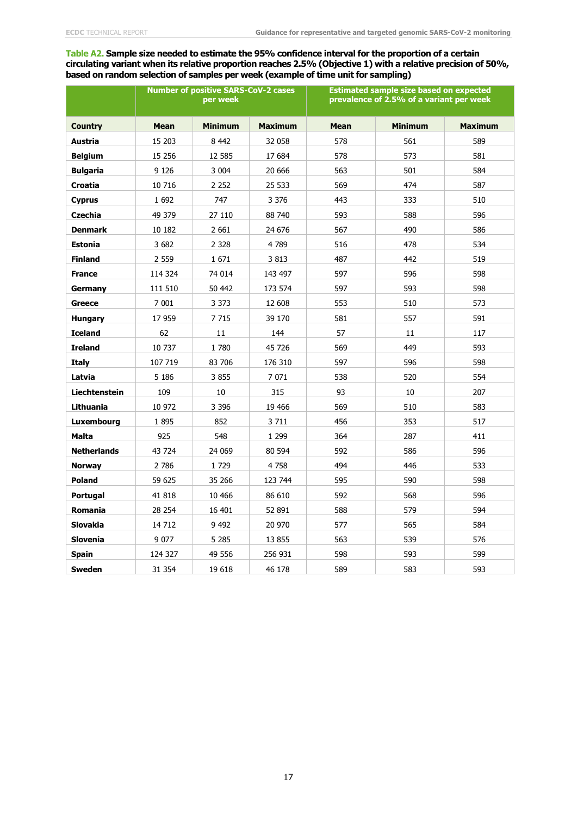#### **Table A2. Sample size needed to estimate the 95% confidence interval for the proportion of a certain circulating variant when its relative proportion reaches 2.5% (Objective 1) with a relative precision of 50%, based on random selection of samples per week (example of time unit for sampling)**

|                      | <b>Number of positive SARS-CoV-2 cases</b><br>per week |                |                | <b>Estimated sample size based on expected</b><br>prevalence of 2.5% of a variant per week |                |                |
|----------------------|--------------------------------------------------------|----------------|----------------|--------------------------------------------------------------------------------------------|----------------|----------------|
| <b>Country</b>       | <b>Mean</b>                                            | <b>Minimum</b> | <b>Maximum</b> | <b>Mean</b>                                                                                | <b>Minimum</b> | <b>Maximum</b> |
| Austria              | 15 203                                                 | 8 4 4 2        | 32 058         | 578                                                                                        | 561            | 589            |
| <b>Belgium</b>       | 15 25 6                                                | 12 5 85        | 17 684         | 578                                                                                        | 573            | 581            |
| <b>Bulgaria</b>      | 9 1 2 6                                                | 3 0 0 4        | 20 666         | 563                                                                                        | 501            | 584            |
| <b>Croatia</b>       | 10 716                                                 | 2 2 5 2        | 25 533         | 569                                                                                        | 474            | 587            |
| <b>Cyprus</b>        | 1 6 9 2                                                | 747            | 3 3 7 6        | 443                                                                                        | 333            | 510            |
| <b>Czechia</b>       | 49 379                                                 | 27 110         | 88 740         | 593                                                                                        | 588            | 596            |
| <b>Denmark</b>       | 10 182                                                 | 2 6 6 1        | 24 676         | 567                                                                                        | 490            | 586            |
| <b>Estonia</b>       | 3 6 8 2                                                | 2 3 2 8        | 4789           | 516                                                                                        | 478            | 534            |
| <b>Finland</b>       | 2 5 5 9                                                | 1671           | 3 8 1 3        | 487                                                                                        | 442            | 519            |
| <b>France</b>        | 114 324                                                | 74 014         | 143 497        | 597                                                                                        | 596            | 598            |
| Germany              | 111 510                                                | 50 442         | 173 574        | 597                                                                                        | 593            | 598            |
| Greece               | 7 0 0 1                                                | 3 3 7 3        | 12 608         | 553                                                                                        | 510            | 573            |
| <b>Hungary</b>       | 17 959                                                 | 7 7 1 5        | 39 170         | 581                                                                                        | 557            | 591            |
| <b>Iceland</b>       | 62                                                     | 11             | 144            | 57                                                                                         | 11             | 117            |
| <b>Ireland</b>       | 10 737                                                 | 1 780          | 45 726         | 569                                                                                        | 449            | 593            |
| <b>Italy</b>         | 107 719                                                | 83 706         | 176 310        | 597                                                                                        | 596            | 598            |
| Latvia               | 5 1 8 6                                                | 3 8 5 5        | 7 0 7 1        | 538                                                                                        | 520            | 554            |
| <b>Liechtenstein</b> | 109                                                    | 10             | 315            | 93                                                                                         | 10             | 207            |
| Lithuania            | 10 972                                                 | 3 3 9 6        | 19 466         | 569                                                                                        | 510            | 583            |
| Luxembourg           | 1895                                                   | 852            | 3 7 1 1        | 456                                                                                        | 353            | 517            |
| Malta                | 925                                                    | 548            | 1 2 9 9        | 364                                                                                        | 287            | 411            |
| <b>Netherlands</b>   | 43 724                                                 | 24 069         | 80 594         | 592                                                                                        | 586            | 596            |
| <b>Norway</b>        | 2 7 8 6                                                | 1729           | 4758           | 494                                                                                        | 446            | 533            |
| <b>Poland</b>        | 59 625                                                 | 35 266         | 123 744        | 595                                                                                        | 590            | 598            |
| Portugal             | 41 818                                                 | 10 466         | 86 610         | 592                                                                                        | 568            | 596            |
| <b>Romania</b>       | 28 254                                                 | 16 401         | 52 891         | 588                                                                                        | 579            | 594            |
| <b>Slovakia</b>      | 14 712                                                 | 9 4 9 2        | 20 970         | 577                                                                                        | 565            | 584            |
| <b>Slovenia</b>      | 9 0 7 7                                                | 5 2 8 5        | 13 855         | 563                                                                                        | 539            | 576            |
| <b>Spain</b>         | 124 327                                                | 49 556         | 256 931        | 598                                                                                        | 593            | 599            |
| <b>Sweden</b>        | 31 354                                                 | 19 618         | 46 178         | 589                                                                                        | 583            | 593            |